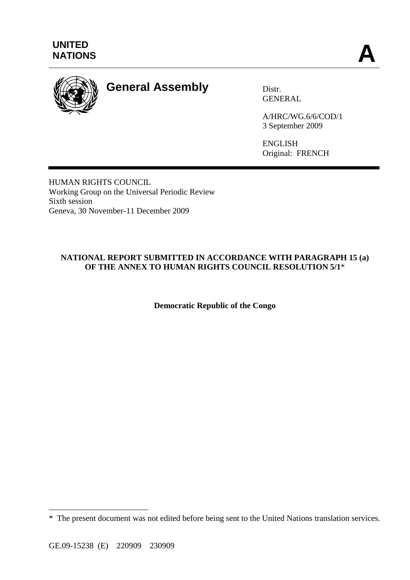

# **General Assembly** Distr.

GENERAL

A/HRC/WG.6/6/COD/1 3 September 2009

ENGLISH Original: FRENCH

HUMAN RIGHTS COUNCIL Working Group on the Universal Periodic Review Sixth session Geneva, 30 November-11 December 2009

## **NATIONAL REPORT SUBMITTED IN ACCORDANCE WITH PARAGRAPH 15 (a) OF THE ANNEX TO HUMAN RIGHTS COUNCIL RESOLUTION 5/1**\*

**Democratic Republic of the Congo** 

 $\overline{a}$ 

<sup>\*</sup> The present document was not edited before being sent to the United Nations translation services.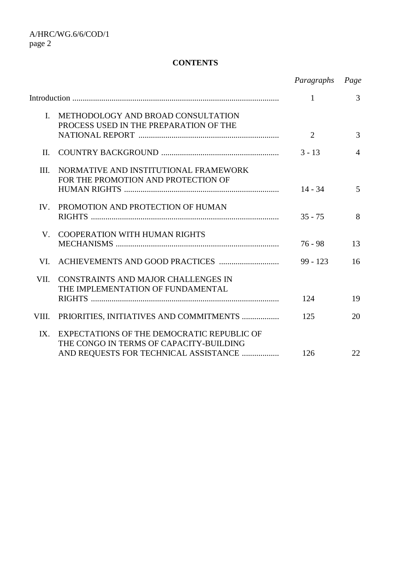## **CONTENTS**

|                |                                                                                  | Paragraphs Page |                |
|----------------|----------------------------------------------------------------------------------|-----------------|----------------|
|                |                                                                                  | $\mathbf{1}$    | 3              |
| $\mathbf{I}$ . | METHODOLOGY AND BROAD CONSULTATION<br>PROCESS USED IN THE PREPARATION OF THE     |                 |                |
|                |                                                                                  | 2               | 3              |
| II.            |                                                                                  | $3 - 13$        | $\overline{4}$ |
| III.           | NORMATIVE AND INSTITUTIONAL FRAMEWORK<br>FOR THE PROMOTION AND PROTECTION OF     |                 |                |
|                |                                                                                  | $14 - 34$       | $\overline{5}$ |
| IV.            | PROMOTION AND PROTECTION OF HUMAN                                                | $35 - 75$       | 8              |
|                |                                                                                  |                 |                |
| V.             | <b>COOPERATION WITH HUMAN RIGHTS</b>                                             | $76 - 98$       | 13             |
| VL.            |                                                                                  | $99 - 123$      | 16             |
| VII.           | CONSTRAINTS AND MAJOR CHALLENGES IN                                              |                 |                |
|                | THE IMPLEMENTATION OF FUNDAMENTAL                                                | 124             | 19             |
| VIII.          | PRIORITIES, INITIATIVES AND COMMITMENTS                                          | 125             | 20             |
| IX.            | EXPECTATIONS OF THE DEMOCRATIC REPUBLIC OF                                       |                 |                |
|                | THE CONGO IN TERMS OF CAPACITY-BUILDING<br>AND REQUESTS FOR TECHNICAL ASSISTANCE | 126             | 22             |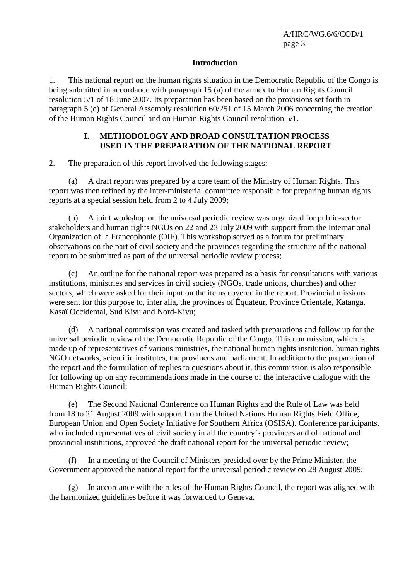#### **Introduction**

1. This national report on the human rights situation in the Democratic Republic of the Congo is being submitted in accordance with paragraph 15 (a) of the annex to Human Rights Council resolution 5/1 of 18 June 2007. Its preparation has been based on the provisions set forth in paragraph 5 (e) of General Assembly resolution 60/251 of 15 March 2006 concerning the creation of the Human Rights Council and on Human Rights Council resolution 5/1.

#### **I. METHODOLOGY AND BROAD CONSULTATION PROCESS USED IN THE PREPARATION OF THE NATIONAL REPORT**

2. The preparation of this report involved the following stages:

 (a) A draft report was prepared by a core team of the Ministry of Human Rights. This report was then refined by the inter-ministerial committee responsible for preparing human rights reports at a special session held from 2 to 4 July 2009;

 (b) A joint workshop on the universal periodic review was organized for public-sector stakeholders and human rights NGOs on 22 and 23 July 2009 with support from the International Organization of la Francophonie (OIF). This workshop served as a forum for preliminary observations on the part of civil society and the provinces regarding the structure of the national report to be submitted as part of the universal periodic review process;

 (c) An outline for the national report was prepared as a basis for consultations with various institutions, ministries and services in civil society (NGOs, trade unions, churches) and other sectors, which were asked for their input on the items covered in the report. Provincial missions were sent for this purpose to, inter alia, the provinces of Équateur, Province Orientale, Katanga, Kasaï Occidental, Sud Kivu and Nord-Kivu;

 (d) A national commission was created and tasked with preparations and follow up for the universal periodic review of the Democratic Republic of the Congo. This commission, which is made up of representatives of various ministries, the national human rights institution, human rights NGO networks, scientific institutes, the provinces and parliament. In addition to the preparation of the report and the formulation of replies to questions about it, this commission is also responsible for following up on any recommendations made in the course of the interactive dialogue with the Human Rights Council;

 (e) The Second National Conference on Human Rights and the Rule of Law was held from 18 to 21 August 2009 with support from the United Nations Human Rights Field Office, European Union and Open Society Initiative for Southern Africa (OSISA). Conference participants, who included representatives of civil society in all the country's provinces and of national and provincial institutions, approved the draft national report for the universal periodic review;

 (f) In a meeting of the Council of Ministers presided over by the Prime Minister, the Government approved the national report for the universal periodic review on 28 August 2009;

 (g) In accordance with the rules of the Human Rights Council, the report was aligned with the harmonized guidelines before it was forwarded to Geneva.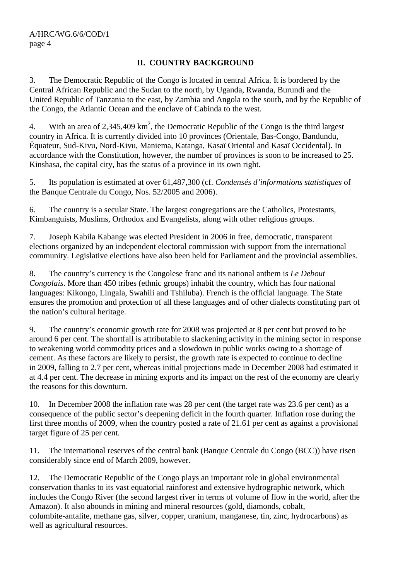## **II. COUNTRY BACKGROUND**

3. The Democratic Republic of the Congo is located in central Africa. It is bordered by the Central African Republic and the Sudan to the north, by Uganda, Rwanda, Burundi and the United Republic of Tanzania to the east, by Zambia and Angola to the south, and by the Republic of the Congo, the Atlantic Ocean and the enclave of Cabinda to the west.

4. With an area of 2,345,409  $\text{km}^2$ , the Democratic Republic of the Congo is the third largest country in Africa. It is currently divided into 10 provinces (Orientale, Bas-Congo, Bandundu, Équateur, Sud-Kivu, Nord-Kivu, Maniema, Katanga, Kasaï Oriental and Kasaï Occidental). In accordance with the Constitution, however, the number of provinces is soon to be increased to 25. Kinshasa, the capital city, has the status of a province in its own right.

5. Its population is estimated at over 61,487,300 (cf. *Condensés d'informations statistiques* of the Banque Centrale du Congo, Nos. 52/2005 and 2006).

6. The country is a secular State. The largest congregations are the Catholics, Protestants, Kimbanguists, Muslims, Orthodox and Evangelists, along with other religious groups.

7. Joseph Kabila Kabange was elected President in 2006 in free, democratic, transparent elections organized by an independent electoral commission with support from the international community. Legislative elections have also been held for Parliament and the provincial assemblies.

8. The country's currency is the Congolese franc and its national anthem is *Le Debout Congolais*. More than 450 tribes (ethnic groups) inhabit the country, which has four national languages: Kikongo, Lingala, Swahili and Tshiluba). French is the official language. The State ensures the promotion and protection of all these languages and of other dialects constituting part of the nation's cultural heritage.

9. The country's economic growth rate for 2008 was projected at 8 per cent but proved to be around 6 per cent. The shortfall is attributable to slackening activity in the mining sector in response to weakening world commodity prices and a slowdown in public works owing to a shortage of cement. As these factors are likely to persist, the growth rate is expected to continue to decline in 2009, falling to 2.7 per cent, whereas initial projections made in December 2008 had estimated it at 4.4 per cent. The decrease in mining exports and its impact on the rest of the economy are clearly the reasons for this downturn.

10. In December 2008 the inflation rate was 28 per cent (the target rate was 23.6 per cent) as a consequence of the public sector's deepening deficit in the fourth quarter. Inflation rose during the first three months of 2009, when the country posted a rate of 21.61 per cent as against a provisional target figure of 25 per cent.

11. The international reserves of the central bank (Banque Centrale du Congo (BCC)) have risen considerably since end of March 2009, however.

12. The Democratic Republic of the Congo plays an important role in global environmental conservation thanks to its vast equatorial rainforest and extensive hydrographic network, which includes the Congo River (the second largest river in terms of volume of flow in the world, after the Amazon). It also abounds in mining and mineral resources (gold, diamonds, cobalt, columbite-antalite, methane gas, silver, copper, uranium, manganese, tin, zinc, hydrocarbons) as well as agricultural resources.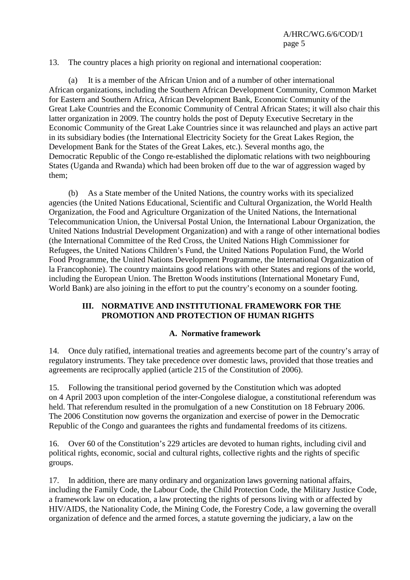13. The country places a high priority on regional and international cooperation:

 (a) It is a member of the African Union and of a number of other international African organizations, including the Southern African Development Community, Common Market for Eastern and Southern Africa, African Development Bank, Economic Community of the Great Lake Countries and the Economic Community of Central African States; it will also chair this latter organization in 2009. The country holds the post of Deputy Executive Secretary in the Economic Community of the Great Lake Countries since it was relaunched and plays an active part in its subsidiary bodies (the International Electricity Society for the Great Lakes Region, the Development Bank for the States of the Great Lakes, etc.). Several months ago, the Democratic Republic of the Congo re-established the diplomatic relations with two neighbouring States (Uganda and Rwanda) which had been broken off due to the war of aggression waged by them;

 (b) As a State member of the United Nations, the country works with its specialized agencies (the United Nations Educational, Scientific and Cultural Organization, the World Health Organization, the Food and Agriculture Organization of the United Nations, the International Telecommunication Union, the Universal Postal Union, the International Labour Organization, the United Nations Industrial Development Organization) and with a range of other international bodies (the International Committee of the Red Cross, the United Nations High Commissioner for Refugees, the United Nations Children's Fund, the United Nations Population Fund, the World Food Programme, the United Nations Development Programme, the International Organization of la Francophonie). The country maintains good relations with other States and regions of the world, including the European Union. The Bretton Woods institutions (International Monetary Fund, World Bank) are also joining in the effort to put the country's economy on a sounder footing.

#### **III. NORMATIVE AND INSTITUTIONAL FRAMEWORK FOR THE PROMOTION AND PROTECTION OF HUMAN RIGHTS**

#### **A. Normative framework**

14. Once duly ratified, international treaties and agreements become part of the country's array of regulatory instruments. They take precedence over domestic laws, provided that those treaties and agreements are reciprocally applied (article 215 of the Constitution of 2006).

15. Following the transitional period governed by the Constitution which was adopted on 4 April 2003 upon completion of the inter-Congolese dialogue, a constitutional referendum was held. That referendum resulted in the promulgation of a new Constitution on 18 February 2006. The 2006 Constitution now governs the organization and exercise of power in the Democratic Republic of the Congo and guarantees the rights and fundamental freedoms of its citizens.

16. Over 60 of the Constitution's 229 articles are devoted to human rights, including civil and political rights, economic, social and cultural rights, collective rights and the rights of specific groups.

17. In addition, there are many ordinary and organization laws governing national affairs, including the Family Code, the Labour Code, the Child Protection Code, the Military Justice Code, a framework law on education, a law protecting the rights of persons living with or affected by HIV/AIDS, the Nationality Code, the Mining Code, the Forestry Code, a law governing the overall organization of defence and the armed forces, a statute governing the judiciary, a law on the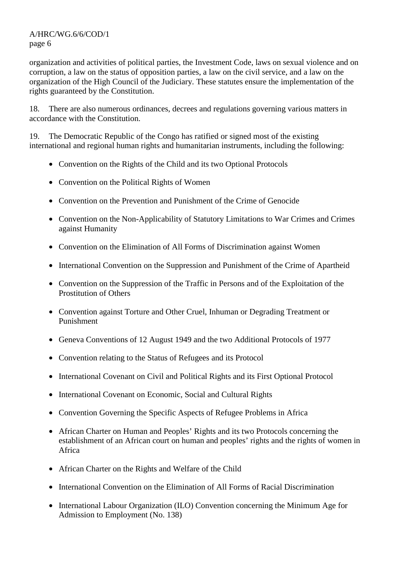organization and activities of political parties, the Investment Code, laws on sexual violence and on corruption, a law on the status of opposition parties, a law on the civil service, and a law on the organization of the High Council of the Judiciary. These statutes ensure the implementation of the rights guaranteed by the Constitution.

18. There are also numerous ordinances, decrees and regulations governing various matters in accordance with the Constitution.

19. The Democratic Republic of the Congo has ratified or signed most of the existing international and regional human rights and humanitarian instruments, including the following:

- Convention on the Rights of the Child and its two Optional Protocols
- Convention on the Political Rights of Women
- Convention on the Prevention and Punishment of the Crime of Genocide
- Convention on the Non-Applicability of Statutory Limitations to War Crimes and Crimes against Humanity
- Convention on the Elimination of All Forms of Discrimination against Women
- International Convention on the Suppression and Punishment of the Crime of Apartheid
- Convention on the Suppression of the Traffic in Persons and of the Exploitation of the Prostitution of Others
- Convention against Torture and Other Cruel, Inhuman or Degrading Treatment or Punishment
- Geneva Conventions of 12 August 1949 and the two Additional Protocols of 1977
- Convention relating to the Status of Refugees and its Protocol
- International Covenant on Civil and Political Rights and its First Optional Protocol
- International Covenant on Economic, Social and Cultural Rights
- Convention Governing the Specific Aspects of Refugee Problems in Africa
- African Charter on Human and Peoples' Rights and its two Protocols concerning the establishment of an African court on human and peoples' rights and the rights of women in Africa
- African Charter on the Rights and Welfare of the Child
- International Convention on the Elimination of All Forms of Racial Discrimination
- International Labour Organization (ILO) Convention concerning the Minimum Age for Admission to Employment (No. 138)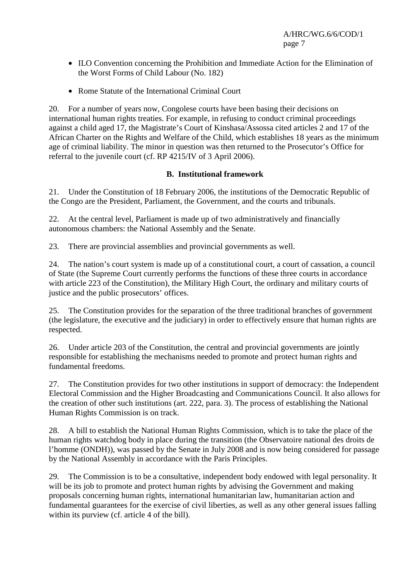- ILO Convention concerning the Prohibition and Immediate Action for the Elimination of the Worst Forms of Child Labour (No. 182)
- Rome Statute of the International Criminal Court

20. For a number of years now, Congolese courts have been basing their decisions on international human rights treaties. For example, in refusing to conduct criminal proceedings against a child aged 17, the Magistrate's Court of Kinshasa/Assossa cited articles 2 and 17 of the African Charter on the Rights and Welfare of the Child, which establishes 18 years as the minimum age of criminal liability. The minor in question was then returned to the Prosecutor's Office for referral to the juvenile court (cf. RP 4215/IV of 3 April 2006).

## **B. Institutional framework**

21. Under the Constitution of 18 February 2006, the institutions of the Democratic Republic of the Congo are the President, Parliament, the Government, and the courts and tribunals.

22. At the central level, Parliament is made up of two administratively and financially autonomous chambers: the National Assembly and the Senate.

23. There are provincial assemblies and provincial governments as well.

24. The nation's court system is made up of a constitutional court, a court of cassation, a council of State (the Supreme Court currently performs the functions of these three courts in accordance with article 223 of the Constitution), the Military High Court, the ordinary and military courts of justice and the public prosecutors' offices.

25. The Constitution provides for the separation of the three traditional branches of government (the legislature, the executive and the judiciary) in order to effectively ensure that human rights are respected.

26. Under article 203 of the Constitution, the central and provincial governments are jointly responsible for establishing the mechanisms needed to promote and protect human rights and fundamental freedoms.

27. The Constitution provides for two other institutions in support of democracy: the Independent Electoral Commission and the Higher Broadcasting and Communications Council. It also allows for the creation of other such institutions (art. 222, para. 3). The process of establishing the National Human Rights Commission is on track.

28. A bill to establish the National Human Rights Commission, which is to take the place of the human rights watchdog body in place during the transition (the Observatoire national des droits de l'homme (ONDH)), was passed by the Senate in July 2008 and is now being considered for passage by the National Assembly in accordance with the Paris Principles.

29. The Commission is to be a consultative, independent body endowed with legal personality. It will be its job to promote and protect human rights by advising the Government and making proposals concerning human rights, international humanitarian law, humanitarian action and fundamental guarantees for the exercise of civil liberties, as well as any other general issues falling within its purview (cf. article 4 of the bill).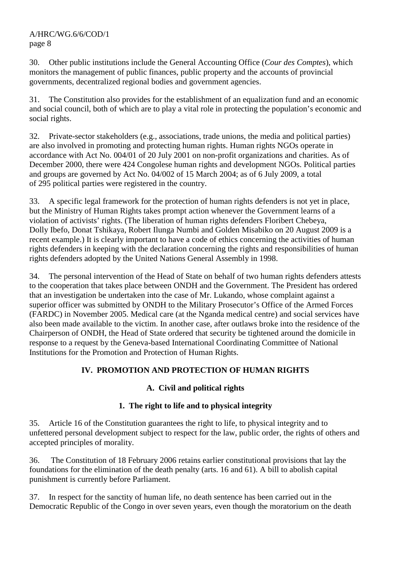30. Other public institutions include the General Accounting Office (*Cour des Comptes*), which monitors the management of public finances, public property and the accounts of provincial governments, decentralized regional bodies and government agencies.

31. The Constitution also provides for the establishment of an equalization fund and an economic and social council, both of which are to play a vital role in protecting the population's economic and social rights.

32. Private-sector stakeholders (e.g., associations, trade unions, the media and political parties) are also involved in promoting and protecting human rights. Human rights NGOs operate in accordance with Act No. 004/01 of 20 July 2001 on non-profit organizations and charities. As of December 2000, there were 424 Congolese human rights and development NGOs. Political parties and groups are governed by Act No. 04/002 of 15 March 2004; as of 6 July 2009, a total of 295 political parties were registered in the country.

33. A specific legal framework for the protection of human rights defenders is not yet in place, but the Ministry of Human Rights takes prompt action whenever the Government learns of a violation of activists' rights. (The liberation of human rights defenders Floribert Chebeya, Dolly Ibefo, Donat Tshikaya, Robert Ilunga Numbi and Golden Misabiko on 20 August 2009 is a recent example.) It is clearly important to have a code of ethics concerning the activities of human rights defenders in keeping with the declaration concerning the rights and responsibilities of human rights defenders adopted by the United Nations General Assembly in 1998.

34. The personal intervention of the Head of State on behalf of two human rights defenders attests to the cooperation that takes place between ONDH and the Government. The President has ordered that an investigation be undertaken into the case of Mr. Lukando, whose complaint against a superior officer was submitted by ONDH to the Military Prosecutor's Office of the Armed Forces (FARDC) in November 2005. Medical care (at the Nganda medical centre) and social services have also been made available to the victim. In another case, after outlaws broke into the residence of the Chairperson of ONDH, the Head of State ordered that security be tightened around the domicile in response to a request by the Geneva-based International Coordinating Committee of National Institutions for the Promotion and Protection of Human Rights.

# **IV. PROMOTION AND PROTECTION OF HUMAN RIGHTS**

## **A. Civil and political rights**

## **1. The right to life and to physical integrity**

35. Article 16 of the Constitution guarantees the right to life, to physical integrity and to unfettered personal development subject to respect for the law, public order, the rights of others and accepted principles of morality.

36. The Constitution of 18 February 2006 retains earlier constitutional provisions that lay the foundations for the elimination of the death penalty (arts. 16 and 61). A bill to abolish capital punishment is currently before Parliament.

37. In respect for the sanctity of human life, no death sentence has been carried out in the Democratic Republic of the Congo in over seven years, even though the moratorium on the death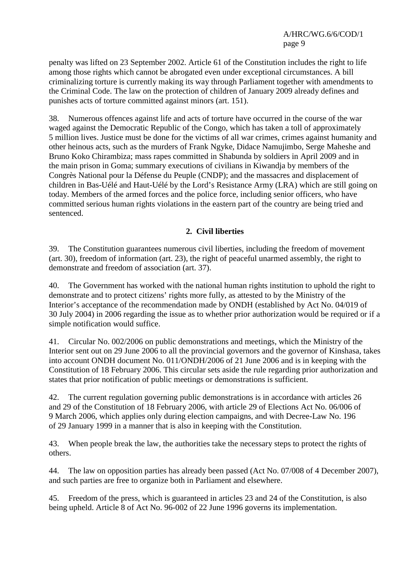penalty was lifted on 23 September 2002. Article 61 of the Constitution includes the right to life among those rights which cannot be abrogated even under exceptional circumstances. A bill criminalizing torture is currently making its way through Parliament together with amendments to the Criminal Code. The law on the protection of children of January 2009 already defines and punishes acts of torture committed against minors (art. 151).

38. Numerous offences against life and acts of torture have occurred in the course of the war waged against the Democratic Republic of the Congo, which has taken a toll of approximately 5 million lives. Justice must be done for the victims of all war crimes, crimes against humanity and other heinous acts, such as the murders of Frank Ngyke, Didace Namujimbo, Serge Maheshe and Bruno Koko Chirambiza; mass rapes committed in Shabunda by soldiers in April 2009 and in the main prison in Goma; summary executions of civilians in Kiwandja by members of the Congrès National pour la Défense du Peuple (CNDP); and the massacres and displacement of children in Bas-Uélé and Haut-Uélé by the Lord's Resistance Army (LRA) which are still going on today. Members of the armed forces and the police force, including senior officers, who have committed serious human rights violations in the eastern part of the country are being tried and sentenced.

## **2. Civil liberties**

39. The Constitution guarantees numerous civil liberties, including the freedom of movement (art. 30), freedom of information (art. 23), the right of peaceful unarmed assembly, the right to demonstrate and freedom of association (art. 37).

40. The Government has worked with the national human rights institution to uphold the right to demonstrate and to protect citizens' rights more fully, as attested to by the Ministry of the Interior's acceptance of the recommendation made by ONDH (established by Act No. 04/019 of 30 July 2004) in 2006 regarding the issue as to whether prior authorization would be required or if a simple notification would suffice.

41. Circular No. 002/2006 on public demonstrations and meetings, which the Ministry of the Interior sent out on 29 June 2006 to all the provincial governors and the governor of Kinshasa, takes into account ONDH document No. 011/ONDH/2006 of 21 June 2006 and is in keeping with the Constitution of 18 February 2006. This circular sets aside the rule regarding prior authorization and states that prior notification of public meetings or demonstrations is sufficient.

42. The current regulation governing public demonstrations is in accordance with articles 26 and 29 of the Constitution of 18 February 2006, with article 29 of Elections Act No. 06/006 of 9 March 2006, which applies only during election campaigns, and with Decree-Law No. 196 of 29 January 1999 in a manner that is also in keeping with the Constitution.

43. When people break the law, the authorities take the necessary steps to protect the rights of others.

44. The law on opposition parties has already been passed (Act No. 07/008 of 4 December 2007), and such parties are free to organize both in Parliament and elsewhere.

45. Freedom of the press, which is guaranteed in articles 23 and 24 of the Constitution, is also being upheld. Article 8 of Act No. 96-002 of 22 June 1996 governs its implementation.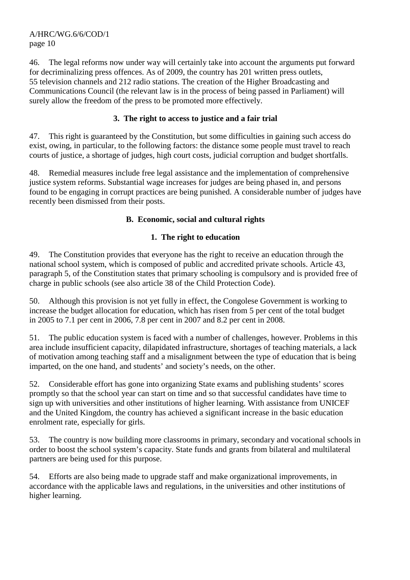46. The legal reforms now under way will certainly take into account the arguments put forward for decriminalizing press offences. As of 2009, the country has 201 written press outlets, 55 television channels and 212 radio stations. The creation of the Higher Broadcasting and Communications Council (the relevant law is in the process of being passed in Parliament) will surely allow the freedom of the press to be promoted more effectively.

## **3. The right to access to justice and a fair trial**

47. This right is guaranteed by the Constitution, but some difficulties in gaining such access do exist, owing, in particular, to the following factors: the distance some people must travel to reach courts of justice, a shortage of judges, high court costs, judicial corruption and budget shortfalls.

48. Remedial measures include free legal assistance and the implementation of comprehensive justice system reforms. Substantial wage increases for judges are being phased in, and persons found to be engaging in corrupt practices are being punished. A considerable number of judges have recently been dismissed from their posts.

#### **B. Economic, social and cultural rights**

## **1. The right to education**

49. The Constitution provides that everyone has the right to receive an education through the national school system, which is composed of public and accredited private schools. Article 43, paragraph 5, of the Constitution states that primary schooling is compulsory and is provided free of charge in public schools (see also article 38 of the Child Protection Code).

50. Although this provision is not yet fully in effect, the Congolese Government is working to increase the budget allocation for education, which has risen from 5 per cent of the total budget in 2005 to 7.1 per cent in 2006, 7.8 per cent in 2007 and 8.2 per cent in 2008.

51. The public education system is faced with a number of challenges, however. Problems in this area include insufficient capacity, dilapidated infrastructure, shortages of teaching materials, a lack of motivation among teaching staff and a misalignment between the type of education that is being imparted, on the one hand, and students' and society's needs, on the other.

52. Considerable effort has gone into organizing State exams and publishing students' scores promptly so that the school year can start on time and so that successful candidates have time to sign up with universities and other institutions of higher learning. With assistance from UNICEF and the United Kingdom, the country has achieved a significant increase in the basic education enrolment rate, especially for girls.

53. The country is now building more classrooms in primary, secondary and vocational schools in order to boost the school system's capacity. State funds and grants from bilateral and multilateral partners are being used for this purpose.

54. Efforts are also being made to upgrade staff and make organizational improvements, in accordance with the applicable laws and regulations, in the universities and other institutions of higher learning.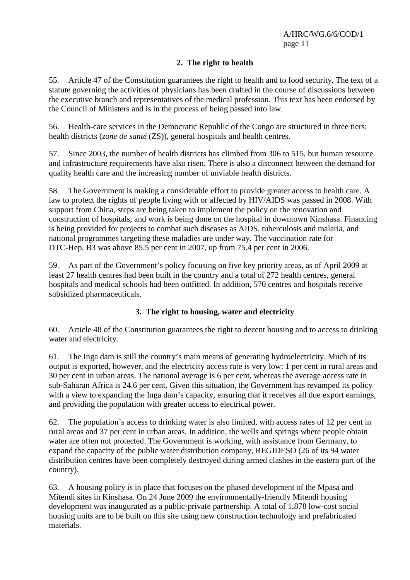## **2. The right to health**

55. Article 47 of the Constitution guarantees the right to health and to food security. The text of a statute governing the activities of physicians has been drafted in the course of discussions between the executive branch and representatives of the medical profession. This text has been endorsed by the Council of Ministers and is in the process of being passed into law.

56. Health-care services in the Democratic Republic of the Congo are structured in three tiers: health districts (*zone de santé* (ZS)), general hospitals and health centres.

57. Since 2003, the number of health districts has climbed from 306 to 515, but human resource and infrastructure requirements have also risen. There is also a disconnect between the demand for quality health care and the increasing number of unviable health districts.

58. The Government is making a considerable effort to provide greater access to health care. A law to protect the rights of people living with or affected by HIV/AIDS was passed in 2008. With support from China, steps are being taken to implement the policy on the renovation and construction of hospitals, and work is being done on the hospital in downtown Kinshasa. Financing is being provided for projects to combat such diseases as AIDS, tuberculosis and malaria, and national programmes targeting these maladies are under way. The vaccination rate for DTC-Hep. B3 was above 85.5 per cent in 2007, up from 75.4 per cent in 2006.

59. As part of the Government's policy focusing on five key priority areas, as of April 2009 at least 27 health centres had been built in the country and a total of 272 health centres, general hospitals and medical schools had been outfitted. In addition, 570 centres and hospitals receive subsidized pharmaceuticals.

## **3. The right to housing, water and electricity**

60. Article 48 of the Constitution guarantees the right to decent housing and to access to drinking water and electricity.

61. The Inga dam is still the country's main means of generating hydroelectricity. Much of its output is exported, however, and the electricity access rate is very low: 1 per cent in rural areas and 30 per cent in urban areas. The national average is 6 per cent, whereas the average access rate in sub-Saharan Africa is 24.6 per cent. Given this situation, the Government has revamped its policy with a view to expanding the Inga dam's capacity, ensuring that it receives all due export earnings, and providing the population with greater access to electrical power.

62. The population's access to drinking water is also limited, with access rates of 12 per cent in rural areas and 37 per cent in urban areas. In addition, the wells and springs where people obtain water are often not protected. The Government is working, with assistance from Germany, to expand the capacity of the public water distribution company, REGIDESO (26 of its 94 water distribution centres have been completely destroyed during armed clashes in the eastern part of the country).

63. A housing policy is in place that focuses on the phased development of the Mpasa and Mitendi sites in Kinshasa. On 24 June 2009 the environmentally-friendly Mitendi housing development was inaugurated as a public-private partnership. A total of 1,878 low-cost social housing units are to be built on this site using new construction technology and prefabricated materials.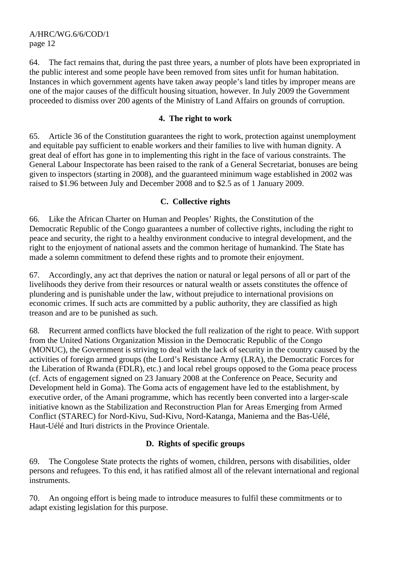64. The fact remains that, during the past three years, a number of plots have been expropriated in the public interest and some people have been removed from sites unfit for human habitation. Instances in which government agents have taken away people's land titles by improper means are one of the major causes of the difficult housing situation, however. In July 2009 the Government proceeded to dismiss over 200 agents of the Ministry of Land Affairs on grounds of corruption.

#### **4. The right to work**

65. Article 36 of the Constitution guarantees the right to work, protection against unemployment and equitable pay sufficient to enable workers and their families to live with human dignity. A great deal of effort has gone in to implementing this right in the face of various constraints. The General Labour Inspectorate has been raised to the rank of a General Secretariat, bonuses are being given to inspectors (starting in 2008), and the guaranteed minimum wage established in 2002 was raised to \$1.96 between July and December 2008 and to \$2.5 as of 1 January 2009.

#### **C. Collective rights**

66. Like the African Charter on Human and Peoples' Rights, the Constitution of the Democratic Republic of the Congo guarantees a number of collective rights, including the right to peace and security, the right to a healthy environment conducive to integral development, and the right to the enjoyment of national assets and the common heritage of humankind. The State has made a solemn commitment to defend these rights and to promote their enjoyment.

67. Accordingly, any act that deprives the nation or natural or legal persons of all or part of the livelihoods they derive from their resources or natural wealth or assets constitutes the offence of plundering and is punishable under the law, without prejudice to international provisions on economic crimes. If such acts are committed by a public authority, they are classified as high treason and are to be punished as such.

68. Recurrent armed conflicts have blocked the full realization of the right to peace. With support from the United Nations Organization Mission in the Democratic Republic of the Congo (MONUC), the Government is striving to deal with the lack of security in the country caused by the activities of foreign armed groups (the Lord's Resistance Army (LRA), the Democratic Forces for the Liberation of Rwanda (FDLR), etc.) and local rebel groups opposed to the Goma peace process (cf. Acts of engagement signed on 23 January 2008 at the Conference on Peace, Security and Development held in Goma). The Goma acts of engagement have led to the establishment, by executive order, of the Amani programme, which has recently been converted into a larger-scale initiative known as the Stabilization and Reconstruction Plan for Areas Emerging from Armed Conflict (STAREC) for Nord-Kivu, Sud-Kivu, Nord-Katanga, Maniema and the Bas-Uélé, Haut-Uélé and Ituri districts in the Province Orientale.

## **D. Rights of specific groups**

69. The Congolese State protects the rights of women, children, persons with disabilities, older persons and refugees. To this end, it has ratified almost all of the relevant international and regional instruments.

70. An ongoing effort is being made to introduce measures to fulfil these commitments or to adapt existing legislation for this purpose.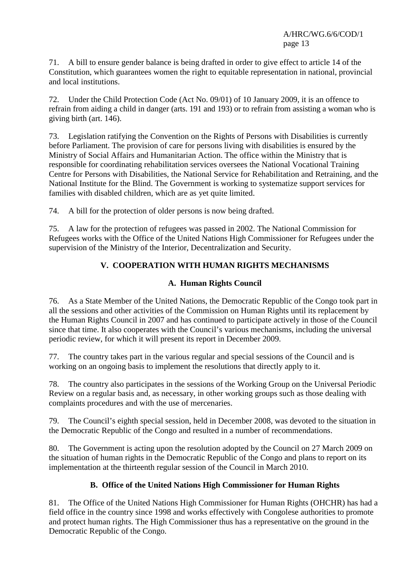71. A bill to ensure gender balance is being drafted in order to give effect to article 14 of the Constitution, which guarantees women the right to equitable representation in national, provincial and local institutions.

72. Under the Child Protection Code (Act No. 09/01) of 10 January 2009, it is an offence to refrain from aiding a child in danger (arts. 191 and 193) or to refrain from assisting a woman who is giving birth (art. 146).

73. Legislation ratifying the Convention on the Rights of Persons with Disabilities is currently before Parliament. The provision of care for persons living with disabilities is ensured by the Ministry of Social Affairs and Humanitarian Action. The office within the Ministry that is responsible for coordinating rehabilitation services oversees the National Vocational Training Centre for Persons with Disabilities, the National Service for Rehabilitation and Retraining, and the National Institute for the Blind. The Government is working to systematize support services for families with disabled children, which are as yet quite limited.

74. A bill for the protection of older persons is now being drafted.

75. A law for the protection of refugees was passed in 2002. The National Commission for Refugees works with the Office of the United Nations High Commissioner for Refugees under the supervision of the Ministry of the Interior, Decentralization and Security.

## **V. COOPERATION WITH HUMAN RIGHTS MECHANISMS**

#### **A. Human Rights Council**

76. As a State Member of the United Nations, the Democratic Republic of the Congo took part in all the sessions and other activities of the Commission on Human Rights until its replacement by the Human Rights Council in 2007 and has continued to participate actively in those of the Council since that time. It also cooperates with the Council's various mechanisms, including the universal periodic review, for which it will present its report in December 2009.

77. The country takes part in the various regular and special sessions of the Council and is working on an ongoing basis to implement the resolutions that directly apply to it.

78. The country also participates in the sessions of the Working Group on the Universal Periodic Review on a regular basis and, as necessary, in other working groups such as those dealing with complaints procedures and with the use of mercenaries.

79. The Council's eighth special session, held in December 2008, was devoted to the situation in the Democratic Republic of the Congo and resulted in a number of recommendations.

80. The Government is acting upon the resolution adopted by the Council on 27 March 2009 on the situation of human rights in the Democratic Republic of the Congo and plans to report on its implementation at the thirteenth regular session of the Council in March 2010.

#### **B. Office of the United Nations High Commissioner for Human Rights**

81. The Office of the United Nations High Commissioner for Human Rights (OHCHR) has had a field office in the country since 1998 and works effectively with Congolese authorities to promote and protect human rights. The High Commissioner thus has a representative on the ground in the Democratic Republic of the Congo.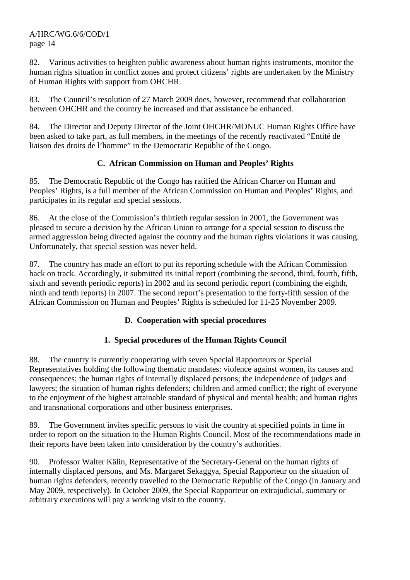82. Various activities to heighten public awareness about human rights instruments, monitor the human rights situation in conflict zones and protect citizens' rights are undertaken by the Ministry of Human Rights with support from OHCHR.

83. The Council's resolution of 27 March 2009 does, however, recommend that collaboration between OHCHR and the country be increased and that assistance be enhanced.

84. The Director and Deputy Director of the Joint OHCHR/MONUC Human Rights Office have been asked to take part, as full members, in the meetings of the recently reactivated "Entité de liaison des droits de l'homme" in the Democratic Republic of the Congo.

## **C. African Commission on Human and Peoples' Rights**

85. The Democratic Republic of the Congo has ratified the African Charter on Human and Peoples' Rights, is a full member of the African Commission on Human and Peoples' Rights, and participates in its regular and special sessions.

86. At the close of the Commission's thirtieth regular session in 2001, the Government was pleased to secure a decision by the African Union to arrange for a special session to discuss the armed aggression being directed against the country and the human rights violations it was causing. Unfortunately, that special session was never held.

87. The country has made an effort to put its reporting schedule with the African Commission back on track. Accordingly, it submitted its initial report (combining the second, third, fourth, fifth, sixth and seventh periodic reports) in 2002 and its second periodic report (combining the eighth, ninth and tenth reports) in 2007. The second report's presentation to the forty-fifth session of the African Commission on Human and Peoples' Rights is scheduled for 11-25 November 2009.

## **D. Cooperation with special procedures**

## **1. Special procedures of the Human Rights Council**

88. The country is currently cooperating with seven Special Rapporteurs or Special Representatives holding the following thematic mandates: violence against women, its causes and consequences; the human rights of internally displaced persons; the independence of judges and lawyers; the situation of human rights defenders; children and armed conflict; the right of everyone to the enjoyment of the highest attainable standard of physical and mental health; and human rights and transnational corporations and other business enterprises.

89. The Government invites specific persons to visit the country at specified points in time in order to report on the situation to the Human Rights Council. Most of the recommendations made in their reports have been taken into consideration by the country's authorities.

90. Professor Walter Kälin, Representative of the Secretary-General on the human rights of internally displaced persons, and Ms. Margaret Sekaggya, Special Rapporteur on the situation of human rights defenders, recently travelled to the Democratic Republic of the Congo (in January and May 2009, respectively). In October 2009, the Special Rapporteur on extrajudicial, summary or arbitrary executions will pay a working visit to the country.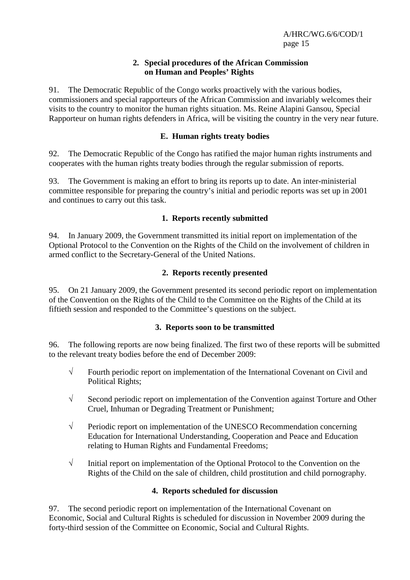#### **2. Special procedures of the African Commission on Human and Peoples' Rights**

91. The Democratic Republic of the Congo works proactively with the various bodies, commissioners and special rapporteurs of the African Commission and invariably welcomes their visits to the country to monitor the human rights situation. Ms. Reine Alapini Gansou, Special Rapporteur on human rights defenders in Africa, will be visiting the country in the very near future.

#### **E. Human rights treaty bodies**

92. The Democratic Republic of the Congo has ratified the major human rights instruments and cooperates with the human rights treaty bodies through the regular submission of reports.

93. The Government is making an effort to bring its reports up to date. An inter-ministerial committee responsible for preparing the country's initial and periodic reports was set up in 2001 and continues to carry out this task.

## **1. Reports recently submitted**

94. In January 2009, the Government transmitted its initial report on implementation of the Optional Protocol to the Convention on the Rights of the Child on the involvement of children in armed conflict to the Secretary-General of the United Nations.

## **2. Reports recently presented**

95. On 21 January 2009, the Government presented its second periodic report on implementation of the Convention on the Rights of the Child to the Committee on the Rights of the Child at its fiftieth session and responded to the Committee's questions on the subject.

#### **3. Reports soon to be transmitted**

96. The following reports are now being finalized. The first two of these reports will be submitted to the relevant treaty bodies before the end of December 2009:

- √ Fourth periodic report on implementation of the International Covenant on Civil and Political Rights;
- √ Second periodic report on implementation of the Convention against Torture and Other Cruel, Inhuman or Degrading Treatment or Punishment;
- $\sqrt{\phantom{a}}$  Periodic report on implementation of the UNESCO Recommendation concerning Education for International Understanding, Cooperation and Peace and Education relating to Human Rights and Fundamental Freedoms;
- √ Initial report on implementation of the Optional Protocol to the Convention on the Rights of the Child on the sale of children, child prostitution and child pornography.

## **4. Reports scheduled for discussion**

97. The second periodic report on implementation of the International Covenant on Economic, Social and Cultural Rights is scheduled for discussion in November 2009 during the forty-third session of the Committee on Economic, Social and Cultural Rights.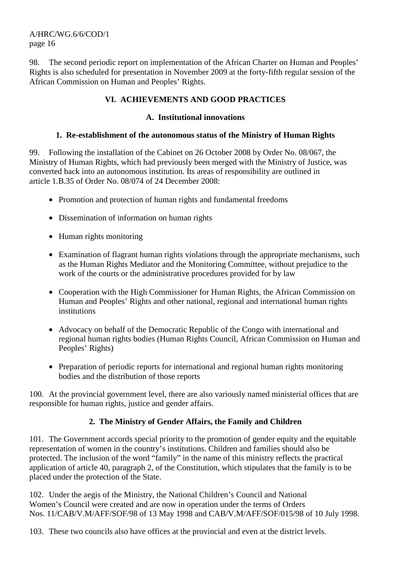98. The second periodic report on implementation of the African Charter on Human and Peoples' Rights is also scheduled for presentation in November 2009 at the forty-fifth regular session of the African Commission on Human and Peoples' Rights.

## **VI. ACHIEVEMENTS AND GOOD PRACTICES**

#### **A. Institutional innovations**

#### **1. Re-establishment of the autonomous status of the Ministry of Human Rights**

99. Following the installation of the Cabinet on 26 October 2008 by Order No. 08/067, the Ministry of Human Rights, which had previously been merged with the Ministry of Justice, was converted back into an autonomous institution. Its areas of responsibility are outlined in article 1.B.35 of Order No. 08/074 of 24 December 2008:

- Promotion and protection of human rights and fundamental freedoms
- Dissemination of information on human rights
- Human rights monitoring
- Examination of flagrant human rights violations through the appropriate mechanisms, such as the Human Rights Mediator and the Monitoring Committee, without prejudice to the work of the courts or the administrative procedures provided for by law
- Cooperation with the High Commissioner for Human Rights, the African Commission on Human and Peoples' Rights and other national, regional and international human rights institutions
- Advocacy on behalf of the Democratic Republic of the Congo with international and regional human rights bodies (Human Rights Council, African Commission on Human and Peoples' Rights)
- Preparation of periodic reports for international and regional human rights monitoring bodies and the distribution of those reports

100. At the provincial government level, there are also variously named ministerial offices that are responsible for human rights, justice and gender affairs.

#### **2. The Ministry of Gender Affairs, the Family and Children**

101. The Government accords special priority to the promotion of gender equity and the equitable representation of women in the country's institutions. Children and families should also be protected. The inclusion of the word "family" in the name of this ministry reflects the practical application of article 40, paragraph 2, of the Constitution, which stipulates that the family is to be placed under the protection of the State.

102. Under the aegis of the Ministry, the National Children's Council and National Women's Council were created and are now in operation under the terms of Orders Nos. 11/CAB/V.M/AFF/SOF/98 of 13 May 1998 and CAB/V.M/AFF/SOF/015/98 of 10 July 1998.

103. These two councils also have offices at the provincial and even at the district levels.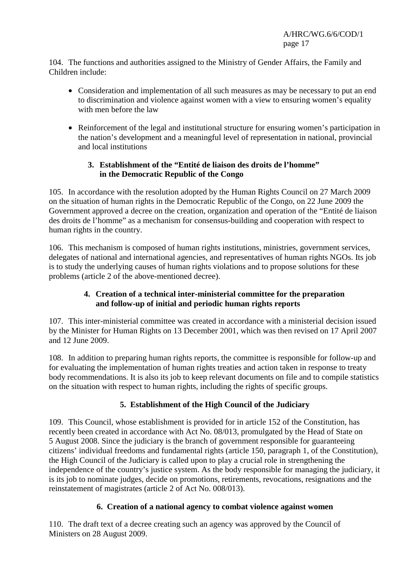104. The functions and authorities assigned to the Ministry of Gender Affairs, the Family and Children include:

- Consideration and implementation of all such measures as may be necessary to put an end to discrimination and violence against women with a view to ensuring women's equality with men before the law
- Reinforcement of the legal and institutional structure for ensuring women's participation in the nation's development and a meaningful level of representation in national, provincial and local institutions

## **3. Establishment of the "Entité de liaison des droits de l'homme" in the Democratic Republic of the Congo**

105. In accordance with the resolution adopted by the Human Rights Council on 27 March 2009 on the situation of human rights in the Democratic Republic of the Congo, on 22 June 2009 the Government approved a decree on the creation, organization and operation of the "Entité de liaison des droits de l'homme" as a mechanism for consensus-building and cooperation with respect to human rights in the country.

106. This mechanism is composed of human rights institutions, ministries, government services, delegates of national and international agencies, and representatives of human rights NGOs. Its job is to study the underlying causes of human rights violations and to propose solutions for these problems (article 2 of the above-mentioned decree).

## **4. Creation of a technical inter-ministerial committee for the preparation and follow-up of initial and periodic human rights reports**

107. This inter-ministerial committee was created in accordance with a ministerial decision issued by the Minister for Human Rights on 13 December 2001, which was then revised on 17 April 2007 and 12 June 2009.

108. In addition to preparing human rights reports, the committee is responsible for follow-up and for evaluating the implementation of human rights treaties and action taken in response to treaty body recommendations. It is also its job to keep relevant documents on file and to compile statistics on the situation with respect to human rights, including the rights of specific groups.

# **5. Establishment of the High Council of the Judiciary**

109. This Council, whose establishment is provided for in article 152 of the Constitution, has recently been created in accordance with Act No. 08/013, promulgated by the Head of State on 5 August 2008. Since the judiciary is the branch of government responsible for guaranteeing citizens' individual freedoms and fundamental rights (article 150, paragraph 1, of the Constitution), the High Council of the Judiciary is called upon to play a crucial role in strengthening the independence of the country's justice system. As the body responsible for managing the judiciary, it is its job to nominate judges, decide on promotions, retirements, revocations, resignations and the reinstatement of magistrates (article 2 of Act No. 008/013).

## **6. Creation of a national agency to combat violence against women**

110. The draft text of a decree creating such an agency was approved by the Council of Ministers on 28 August 2009.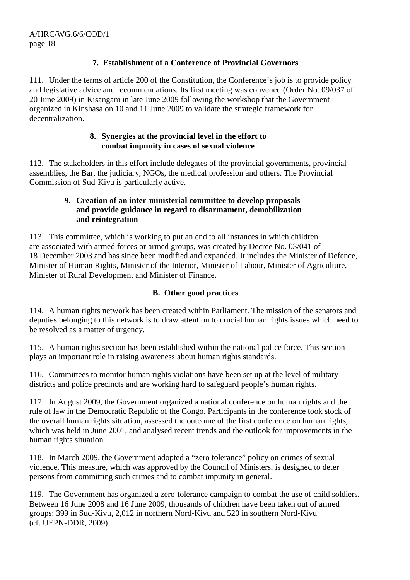## **7. Establishment of a Conference of Provincial Governors**

111. Under the terms of article 200 of the Constitution, the Conference's job is to provide policy and legislative advice and recommendations. Its first meeting was convened (Order No. 09/037 of 20 June 2009) in Kisangani in late June 2009 following the workshop that the Government organized in Kinshasa on 10 and 11 June 2009 to validate the strategic framework for decentralization.

#### **8. Synergies at the provincial level in the effort to combat impunity in cases of sexual violence**

112. The stakeholders in this effort include delegates of the provincial governments, provincial assemblies, the Bar, the judiciary, NGOs, the medical profession and others. The Provincial Commission of Sud-Kivu is particularly active.

#### **9. Creation of an inter-ministerial committee to develop proposals and provide guidance in regard to disarmament, demobilization and reintegration**

113. This committee, which is working to put an end to all instances in which children are associated with armed forces or armed groups, was created by Decree No. 03/041 of 18 December 2003 and has since been modified and expanded. It includes the Minister of Defence, Minister of Human Rights, Minister of the Interior, Minister of Labour, Minister of Agriculture, Minister of Rural Development and Minister of Finance.

## **B. Other good practices**

114. A human rights network has been created within Parliament. The mission of the senators and deputies belonging to this network is to draw attention to crucial human rights issues which need to be resolved as a matter of urgency.

115. A human rights section has been established within the national police force. This section plays an important role in raising awareness about human rights standards.

116. Committees to monitor human rights violations have been set up at the level of military districts and police precincts and are working hard to safeguard people's human rights.

117. In August 2009, the Government organized a national conference on human rights and the rule of law in the Democratic Republic of the Congo. Participants in the conference took stock of the overall human rights situation, assessed the outcome of the first conference on human rights, which was held in June 2001, and analysed recent trends and the outlook for improvements in the human rights situation.

118. In March 2009, the Government adopted a "zero tolerance" policy on crimes of sexual violence. This measure, which was approved by the Council of Ministers, is designed to deter persons from committing such crimes and to combat impunity in general.

119. The Government has organized a zero-tolerance campaign to combat the use of child soldiers. Between 16 June 2008 and 16 June 2009, thousands of children have been taken out of armed groups: 399 in Sud-Kivu, 2,012 in northern Nord-Kivu and 520 in southern Nord-Kivu (cf. UEPN-DDR, 2009).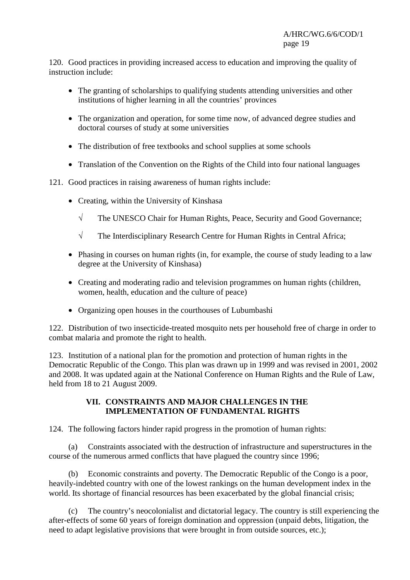120. Good practices in providing increased access to education and improving the quality of instruction include:

- The granting of scholarships to qualifying students attending universities and other institutions of higher learning in all the countries' provinces
- The organization and operation, for some time now, of advanced degree studies and doctoral courses of study at some universities
- The distribution of free textbooks and school supplies at some schools
- Translation of the Convention on the Rights of the Child into four national languages
- 121. Good practices in raising awareness of human rights include:
	- Creating, within the University of Kinshasa
		- √ The UNESCO Chair for Human Rights, Peace, Security and Good Governance;
		- √ The Interdisciplinary Research Centre for Human Rights in Central Africa;
	- Phasing in courses on human rights (in, for example, the course of study leading to a law degree at the University of Kinshasa)
	- Creating and moderating radio and television programmes on human rights (children, women, health, education and the culture of peace)
	- Organizing open houses in the courthouses of Lubumbashi

122. Distribution of two insecticide-treated mosquito nets per household free of charge in order to combat malaria and promote the right to health.

123. Institution of a national plan for the promotion and protection of human rights in the Democratic Republic of the Congo. This plan was drawn up in 1999 and was revised in 2001, 2002 and 2008. It was updated again at the National Conference on Human Rights and the Rule of Law, held from 18 to 21 August 2009.

#### **VII. CONSTRAINTS AND MAJOR CHALLENGES IN THE IMPLEMENTATION OF FUNDAMENTAL RIGHTS**

124. The following factors hinder rapid progress in the promotion of human rights:

 (a) Constraints associated with the destruction of infrastructure and superstructures in the course of the numerous armed conflicts that have plagued the country since 1996;

 (b) Economic constraints and poverty. The Democratic Republic of the Congo is a poor, heavily-indebted country with one of the lowest rankings on the human development index in the world. Its shortage of financial resources has been exacerbated by the global financial crisis;

 (c) The country's neocolonialist and dictatorial legacy. The country is still experiencing the after-effects of some 60 years of foreign domination and oppression (unpaid debts, litigation, the need to adapt legislative provisions that were brought in from outside sources, etc.);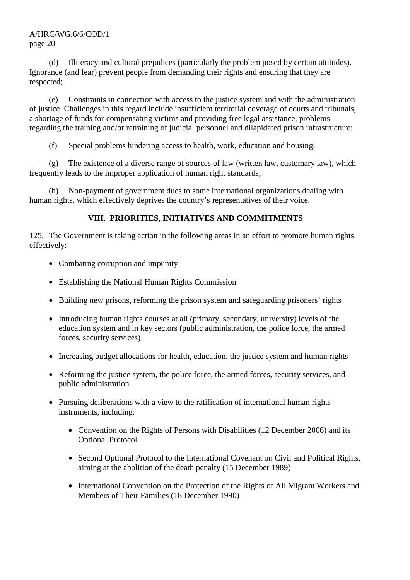(d) Illiteracy and cultural prejudices (particularly the problem posed by certain attitudes). Ignorance (and fear) prevent people from demanding their rights and ensuring that they are respected;

 (e) Constraints in connection with access to the justice system and with the administration of justice. Challenges in this regard include insufficient territorial coverage of courts and tribunals, a shortage of funds for compensating victims and providing free legal assistance, problems regarding the training and/or retraining of judicial personnel and dilapidated prison infrastructure;

(f) Special problems hindering access to health, work, education and housing;

 (g) The existence of a diverse range of sources of law (written law, customary law), which frequently leads to the improper application of human right standards;

 (h) Non-payment of government dues to some international organizations dealing with human rights, which effectively deprives the country's representatives of their voice.

# **VIII. PRIORITIES, INITIATIVES AND COMMITMENTS**

125. The Government is taking action in the following areas in an effort to promote human rights effectively:

- Combating corruption and impunity
- Establishing the National Human Rights Commission
- Building new prisons, reforming the prison system and safeguarding prisoners' rights
- Introducing human rights courses at all (primary, secondary, university) levels of the education system and in key sectors (public administration, the police force, the armed forces, security services)
- Increasing budget allocations for health, education, the justice system and human rights
- Reforming the justice system, the police force, the armed forces, security services, and public administration
- Pursuing deliberations with a view to the ratification of international human rights instruments, including:
	- Convention on the Rights of Persons with Disabilities (12 December 2006) and its Optional Protocol
	- Second Optional Protocol to the International Covenant on Civil and Political Rights, aiming at the abolition of the death penalty (15 December 1989)
	- International Convention on the Protection of the Rights of All Migrant Workers and Members of Their Families (18 December 1990)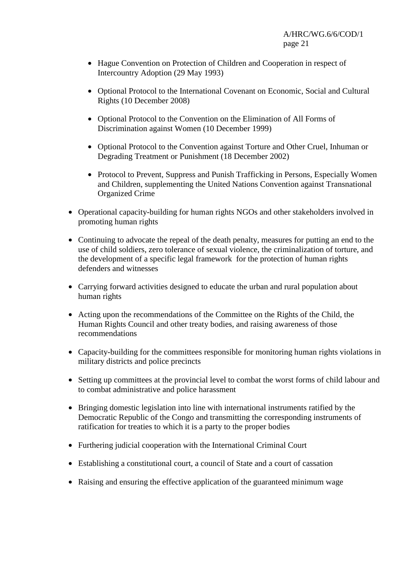- Hague Convention on Protection of Children and Cooperation in respect of Intercountry Adoption (29 May 1993)
- Optional Protocol to the International Covenant on Economic, Social and Cultural Rights (10 December 2008)
- Optional Protocol to the Convention on the Elimination of All Forms of Discrimination against Women (10 December 1999)
- Optional Protocol to the Convention against Torture and Other Cruel, Inhuman or Degrading Treatment or Punishment (18 December 2002)
- Protocol to Prevent, Suppress and Punish Trafficking in Persons, Especially Women and Children, supplementing the United Nations Convention against Transnational Organized Crime
- Operational capacity-building for human rights NGOs and other stakeholders involved in promoting human rights
- Continuing to advocate the repeal of the death penalty, measures for putting an end to the use of child soldiers, zero tolerance of sexual violence, the criminalization of torture, and the development of a specific legal framework for the protection of human rights defenders and witnesses
- Carrying forward activities designed to educate the urban and rural population about human rights
- Acting upon the recommendations of the Committee on the Rights of the Child, the Human Rights Council and other treaty bodies, and raising awareness of those recommendations
- Capacity-building for the committees responsible for monitoring human rights violations in military districts and police precincts
- Setting up committees at the provincial level to combat the worst forms of child labour and to combat administrative and police harassment
- Bringing domestic legislation into line with international instruments ratified by the Democratic Republic of the Congo and transmitting the corresponding instruments of ratification for treaties to which it is a party to the proper bodies
- Furthering judicial cooperation with the International Criminal Court
- Establishing a constitutional court, a council of State and a court of cassation
- Raising and ensuring the effective application of the guaranteed minimum wage